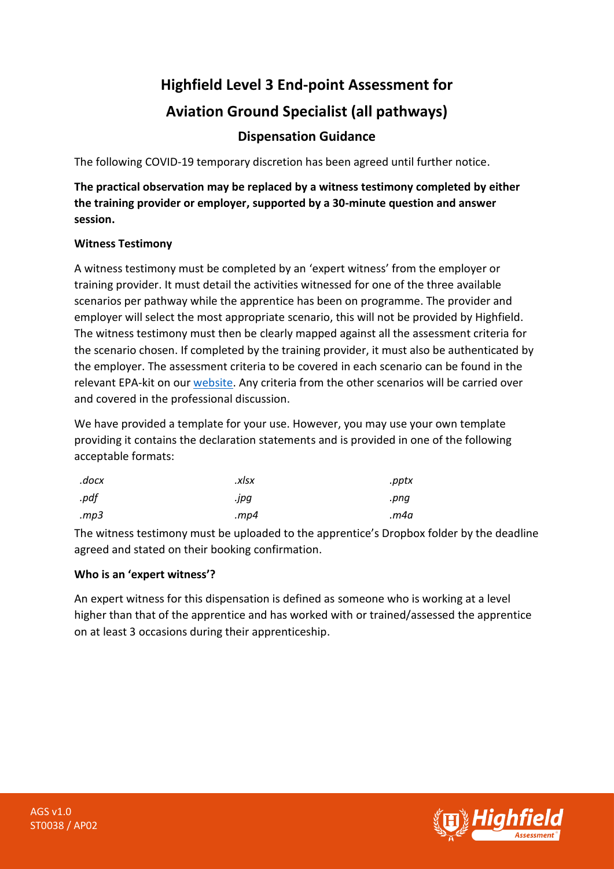# **Highfield Level 3 End-point Assessment for Aviation Ground Specialist (all pathways)**

## **Dispensation Guidance**

The following COVID-19 temporary discretion has been agreed until further notice.

**The practical observation may be replaced by a witness testimony completed by either the training provider or employer, supported by a 30-minute question and answer session.** 

### **Witness Testimony**

A witness testimony must be completed by an 'expert witness' from the employer or training provider. It must detail the activities witnessed for one of the three available scenarios per pathway while the apprentice has been on programme. The provider and employer will select the most appropriate scenario, this will not be provided by Highfield. The witness testimony must then be clearly mapped against all the assessment criteria for the scenario chosen. If completed by the training provider, it must also be authenticated by the employer. The assessment criteria to be covered in each scenario can be found in the relevant EPA-kit on ou[r website.](https://www.highfieldassessment.com/aviation-ground-operative-epa-kit-117) Any criteria from the other scenarios will be carried over and covered in the professional discussion.

We have provided a template for your use. However, you may use your own template providing it contains the declaration statements and is provided in one of the following acceptable formats:

| .docx | .xlsx   | .pptx |
|-------|---------|-------|
| .pdf  | .jpg    | .png  |
| mp3.  | . $mp4$ | m4a.  |

The witness testimony must be uploaded to the apprentice's Dropbox folder by the deadline agreed and stated on their booking confirmation.

#### **Who is an 'expert witness'?**

An expert witness for this dispensation is defined as someone who is working at a level higher than that of the apprentice and has worked with or trained/assessed the apprentice on at least 3 occasions during their apprenticeship.